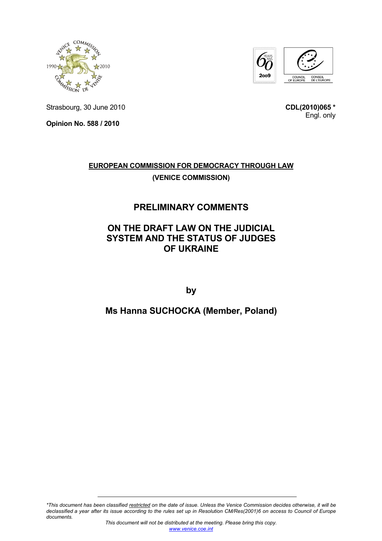



Strasbourg, 30 June 2010

**Opinion No. 588 / 2010** 

**CDL(2010)065 \*** Engl. only

## **EUROPEAN COMMISSION FOR DEMOCRACY THROUGH LAW (VENICE COMMISSION)**

## **PRELIMINARY COMMENTS**

## **ON THE DRAFT LAW ON THE JUDICIAL SYSTEM AND THE STATUS OF JUDGES OF UKRAINE**

**by** 

## **Ms Hanna SUCHOCKA (Member, Poland)**

*<sup>\*</sup>This document has been classified restricted on the date of issue. Unless the Venice Commission decides otherwise, it will be declassified a year after its issue according to the rules set up in Resolution CM/Res(2001)6 on access to Council of Europe documents.*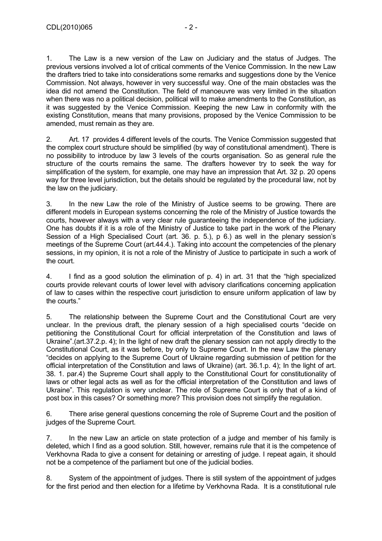1. The Law is a new version of the Law on Judiciary and the status of Judges. The previous versions involved a lot of critical comments of the Venice Commission. In the new Law the drafters tried to take into considerations some remarks and suggestions done by the Venice Commission. Not always, however in very successful way. One of the main obstacles was the idea did not amend the Constitution. The field of manoeuvre was very limited in the situation when there was no a political decision, political will to make amendments to the Constitution, as it was suggested by the Venice Commission. Keeping the new Law in conformity with the existing Constitution, means that many provisions, proposed by the Venice Commission to be amended, must remain as they are.

2. Art. 17 provides 4 different levels of the courts. The Venice Commission suggested that the complex court structure should be simplified (by way of constitutional amendment). There is no possibility to introduce by law 3 levels of the courts organisation. So as general rule the structure of the courts remains the same. The drafters however try to seek the way for simplification of the system, for example, one may have an impression that Art. 32 p. 20 opens way for three level jurisdiction, but the details should be regulated by the procedural law, not by the law on the judiciary.

3. In the new Law the role of the Ministry of Justice seems to be growing. There are different models in European systems concerning the role of the Ministry of Justice towards the courts, however always with a very clear rule guaranteeing the independence of the judiciary. One has doubts if it is a role of the Ministry of Justice to take part in the work of the Plenary Session of a High Specialised Court (art. 36. p. 5.), p 6.) as well in the plenary session's meetings of the Supreme Court (art.44.4.). Taking into account the competencies of the plenary sessions, in my opinion, it is not a role of the Ministry of Justice to participate in such a work of the court.

4. I find as a good solution the elimination of p. 4) in art. 31 that the "high specialized courts provide relevant courts of lower level with advisory clarifications concerning application of law to cases within the respective court jurisdiction to ensure uniform application of law by the courts."

5. The relationship between the Supreme Court and the Constitutional Court are very unclear. In the previous draft, the plenary session of a high specialised courts "decide on petitioning the Constitutional Court for official interpretation of the Constitution and laws of Ukraine".(art.37.2.p. 4); In the light of new draft the plenary session can not apply directly to the Constitutional Court, as it was before, by only to Supreme Court. In the new Law the plenary "decides on applying to the Supreme Court of Ukraine regarding submission of petition for the official interpretation of the Constitution and laws of Ukraine) (art. 36.1.p. 4); In the light of art. 38. 1. par.4) the Supreme Court shall apply to the Constitutional Court for constitutionality of laws or other legal acts as well as for the official interpretation of the Constitution and laws of Ukraine". This regulation is very unclear. The role of Supreme Court is only that of a kind of post box in this cases? Or something more? This provision does not simplify the regulation.

6. There arise general questions concerning the role of Supreme Court and the position of judges of the Supreme Court.

7. In the new Law an article on state protection of a judge and member of his family is deleted, which I find as a good solution. Still, however, remains rule that it is the competence of Verkhovna Rada to give a consent for detaining or arresting of judge. I repeat again, it should not be a competence of the parliament but one of the judicial bodies.

8. System of the appointment of judges. There is still system of the appointment of judges for the first period and then election for a lifetime by Verkhovna Rada. It is a constitutional rule